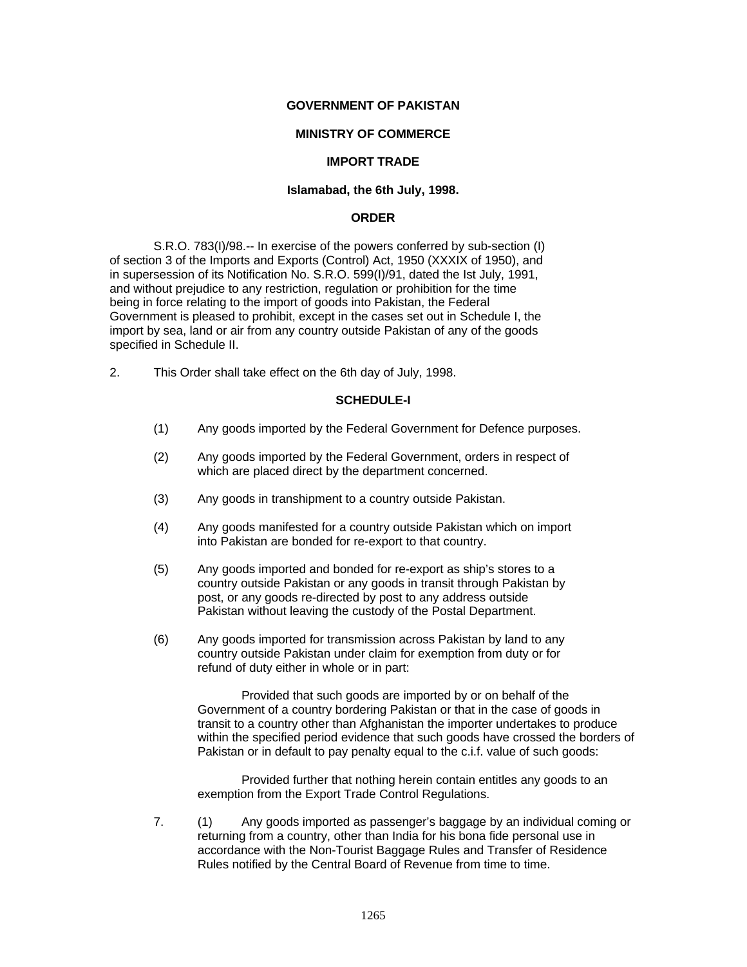### **GOVERNMENT OF PAKISTAN**

### **MINISTRY OF COMMERCE**

## **IMPORT TRADE**

#### **Islamabad, the 6th July, 1998.**

#### **ORDER**

S.R.O. 783(I)/98.-- In exercise of the powers conferred by sub-section (I) of section 3 of the Imports and Exports (Control) Act, 1950 (XXXIX of 1950), and in supersession of its Notification No. S.R.O. 599(I)/91, dated the Ist July, 1991, and without prejudice to any restriction, regulation or prohibition for the time being in force relating to the import of goods into Pakistan, the Federal Government is pleased to prohibit, except in the cases set out in Schedule I, the import by sea, land or air from any country outside Pakistan of any of the goods specified in Schedule II.

2. This Order shall take effect on the 6th day of July, 1998.

#### **SCHEDULE-I**

- (1) Any goods imported by the Federal Government for Defence purposes.
- (2) Any goods imported by the Federal Government, orders in respect of which are placed direct by the department concerned.
- (3) Any goods in transhipment to a country outside Pakistan.
- (4) Any goods manifested for a country outside Pakistan which on import into Pakistan are bonded for re-export to that country.
- (5) Any goods imported and bonded for re-export as ship's stores to a country outside Pakistan or any goods in transit through Pakistan by post, or any goods re-directed by post to any address outside Pakistan without leaving the custody of the Postal Department.
- (6) Any goods imported for transmission across Pakistan by land to any country outside Pakistan under claim for exemption from duty or for refund of duty either in whole or in part:

Provided that such goods are imported by or on behalf of the Government of a country bordering Pakistan or that in the case of goods in transit to a country other than Afghanistan the importer undertakes to produce within the specified period evidence that such goods have crossed the borders of Pakistan or in default to pay penalty equal to the c.i.f. value of such goods:

Provided further that nothing herein contain entitles any goods to an exemption from the Export Trade Control Regulations.

7. (1) Any goods imported as passenger's baggage by an individual coming or returning from a country, other than India for his bona fide personal use in accordance with the Non-Tourist Baggage Rules and Transfer of Residence Rules notified by the Central Board of Revenue from time to time.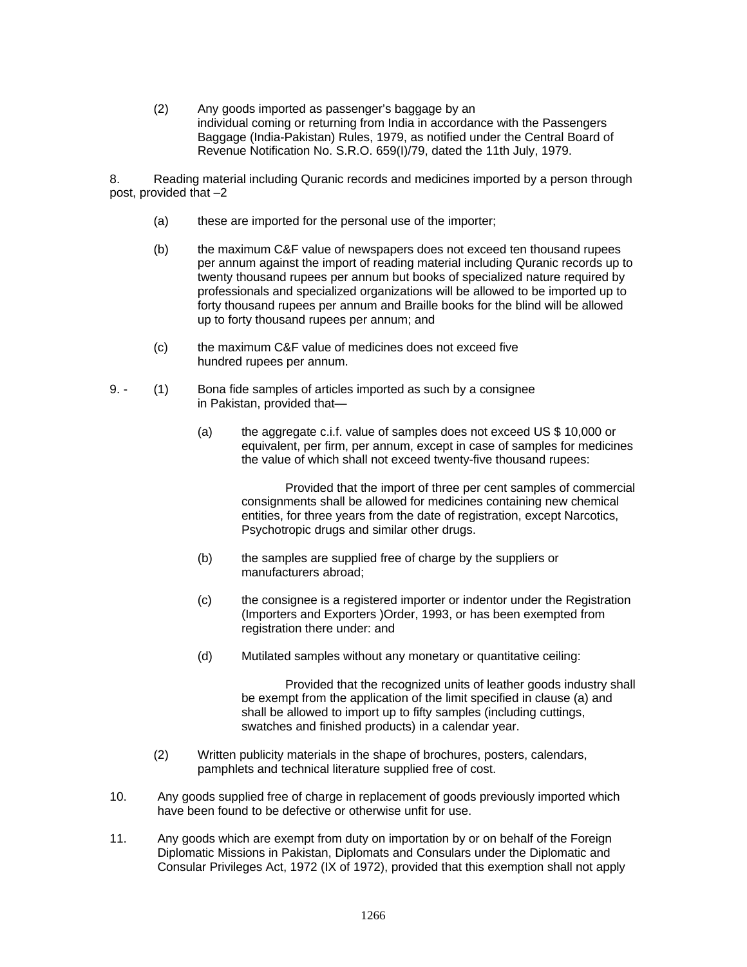(2) Any goods imported as passenger's baggage by an individual coming or returning from India in accordance with the Passengers Baggage (India-Pakistan) Rules, 1979, as notified under the Central Board of Revenue Notification No. S.R.O. 659(I)/79, dated the 11th July, 1979.

8. Reading material including Quranic records and medicines imported by a person through post, provided that –2

- (a) these are imported for the personal use of the importer;
- (b) the maximum C&F value of newspapers does not exceed ten thousand rupees per annum against the import of reading material including Quranic records up to twenty thousand rupees per annum but books of specialized nature required by professionals and specialized organizations will be allowed to be imported up to forty thousand rupees per annum and Braille books for the blind will be allowed up to forty thousand rupees per annum; and
- (c) the maximum C&F value of medicines does not exceed five hundred rupees per annum.
- 9. (1) Bona fide samples of articles imported as such by a consignee in Pakistan, provided that—
	- (a) the aggregate c.i.f. value of samples does not exceed US \$ 10,000 or equivalent, per firm, per annum, except in case of samples for medicines the value of which shall not exceed twenty-five thousand rupees:

Provided that the import of three per cent samples of commercial consignments shall be allowed for medicines containing new chemical entities, for three years from the date of registration, except Narcotics, Psychotropic drugs and similar other drugs.

- (b) the samples are supplied free of charge by the suppliers or manufacturers abroad;
- (c) the consignee is a registered importer or indentor under the Registration (Importers and Exporters )Order, 1993, or has been exempted from registration there under: and
- (d) Mutilated samples without any monetary or quantitative ceiling:

Provided that the recognized units of leather goods industry shall be exempt from the application of the limit specified in clause (a) and shall be allowed to import up to fifty samples (including cuttings, swatches and finished products) in a calendar year.

- (2) Written publicity materials in the shape of brochures, posters, calendars, pamphlets and technical literature supplied free of cost.
- 10. Any goods supplied free of charge in replacement of goods previously imported which have been found to be defective or otherwise unfit for use.
- 11. Any goods which are exempt from duty on importation by or on behalf of the Foreign Diplomatic Missions in Pakistan, Diplomats and Consulars under the Diplomatic and Consular Privileges Act, 1972 (IX of 1972), provided that this exemption shall not apply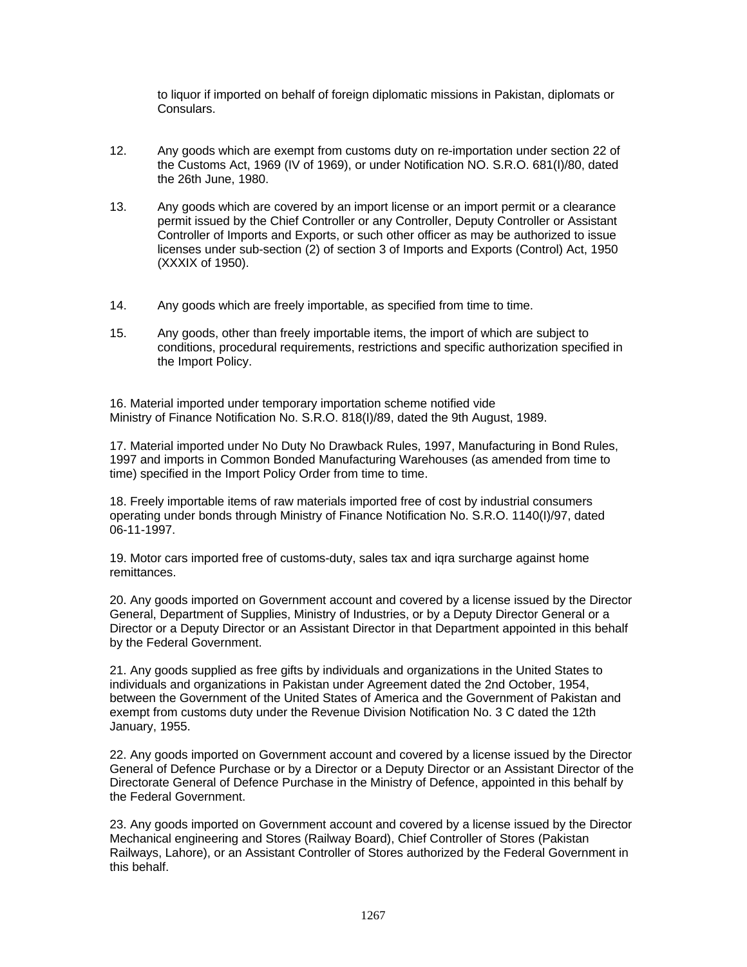to liquor if imported on behalf of foreign diplomatic missions in Pakistan, diplomats or Consulars.

- 12. Any goods which are exempt from customs duty on re-importation under section 22 of the Customs Act, 1969 (IV of 1969), or under Notification NO. S.R.O. 681(I)/80, dated the 26th June, 1980.
- 13. Any goods which are covered by an import license or an import permit or a clearance permit issued by the Chief Controller or any Controller, Deputy Controller or Assistant Controller of Imports and Exports, or such other officer as may be authorized to issue licenses under sub-section (2) of section 3 of Imports and Exports (Control) Act, 1950 (XXXIX of 1950).
- 14. Any goods which are freely importable, as specified from time to time.
- 15. Any goods, other than freely importable items, the import of which are subject to conditions, procedural requirements, restrictions and specific authorization specified in the Import Policy.

16. Material imported under temporary importation scheme notified vide Ministry of Finance Notification No. S.R.O. 818(I)/89, dated the 9th August, 1989.

17. Material imported under No Duty No Drawback Rules, 1997, Manufacturing in Bond Rules, 1997 and imports in Common Bonded Manufacturing Warehouses (as amended from time to time) specified in the Import Policy Order from time to time.

18. Freely importable items of raw materials imported free of cost by industrial consumers operating under bonds through Ministry of Finance Notification No. S.R.O. 1140(I)/97, dated 06-11-1997.

19. Motor cars imported free of customs-duty, sales tax and iqra surcharge against home remittances.

20. Any goods imported on Government account and covered by a license issued by the Director General, Department of Supplies, Ministry of Industries, or by a Deputy Director General or a Director or a Deputy Director or an Assistant Director in that Department appointed in this behalf by the Federal Government.

21. Any goods supplied as free gifts by individuals and organizations in the United States to individuals and organizations in Pakistan under Agreement dated the 2nd October, 1954, between the Government of the United States of America and the Government of Pakistan and exempt from customs duty under the Revenue Division Notification No. 3 C dated the 12th January, 1955.

22. Any goods imported on Government account and covered by a license issued by the Director General of Defence Purchase or by a Director or a Deputy Director or an Assistant Director of the Directorate General of Defence Purchase in the Ministry of Defence, appointed in this behalf by the Federal Government.

23. Any goods imported on Government account and covered by a license issued by the Director Mechanical engineering and Stores (Railway Board), Chief Controller of Stores (Pakistan Railways, Lahore), or an Assistant Controller of Stores authorized by the Federal Government in this behalf.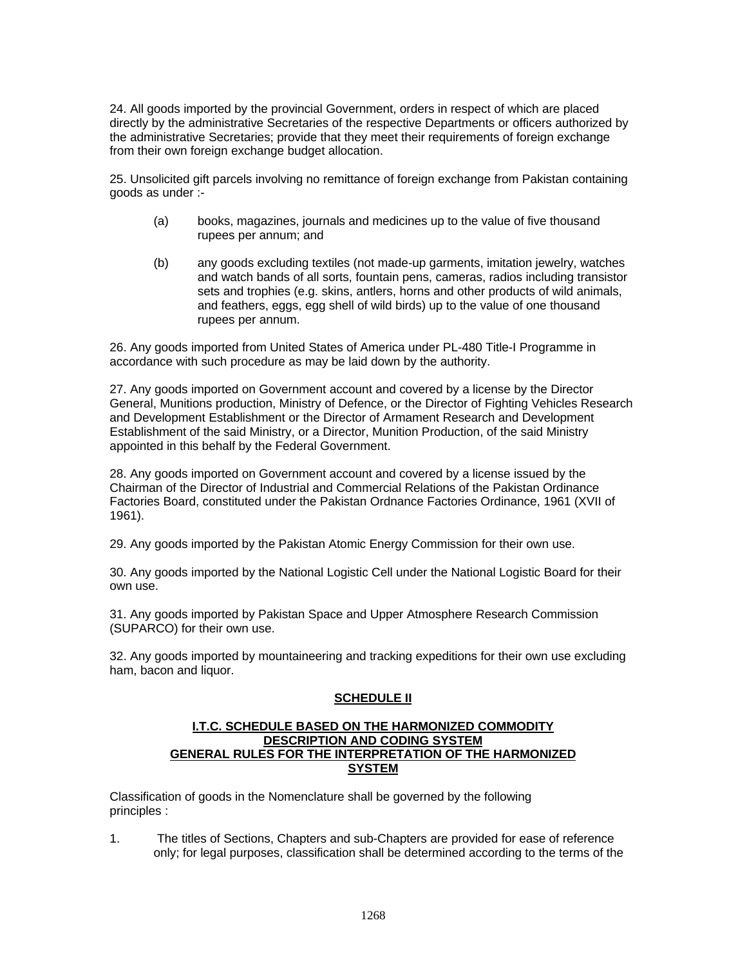24. All goods imported by the provincial Government, orders in respect of which are placed directly by the administrative Secretaries of the respective Departments or officers authorized by the administrative Secretaries; provide that they meet their requirements of foreign exchange from their own foreign exchange budget allocation.

25. Unsolicited gift parcels involving no remittance of foreign exchange from Pakistan containing goods as under :-

- (a) books, magazines, journals and medicines up to the value of five thousand rupees per annum; and
- (b) any goods excluding textiles (not made-up garments, imitation jewelry, watches and watch bands of all sorts, fountain pens, cameras, radios including transistor sets and trophies (e.g. skins, antlers, horns and other products of wild animals, and feathers, eggs, egg shell of wild birds) up to the value of one thousand rupees per annum.

26. Any goods imported from United States of America under PL-480 Title-I Programme in accordance with such procedure as may be laid down by the authority.

27. Any goods imported on Government account and covered by a license by the Director General, Munitions production, Ministry of Defence, or the Director of Fighting Vehicles Research and Development Establishment or the Director of Armament Research and Development Establishment of the said Ministry, or a Director, Munition Production, of the said Ministry appointed in this behalf by the Federal Government.

28. Any goods imported on Government account and covered by a license issued by the Chairman of the Director of Industrial and Commercial Relations of the Pakistan Ordinance Factories Board, constituted under the Pakistan Ordnance Factories Ordinance, 1961 (XVII of 1961).

29. Any goods imported by the Pakistan Atomic Energy Commission for their own use.

30. Any goods imported by the National Logistic Cell under the National Logistic Board for their own use.

31. Any goods imported by Pakistan Space and Upper Atmosphere Research Commission (SUPARCO) for their own use.

32. Any goods imported by mountaineering and tracking expeditions for their own use excluding ham, bacon and liquor.

# **SCHEDULE II**

### **I.T.C. SCHEDULE BASED ON THE HARMONIZED COMMODITY DESCRIPTION AND CODING SYSTEM GENERAL RULES FOR THE INTERPRETATION OF THE HARMONIZED SYSTEM**

Classification of goods in the Nomenclature shall be governed by the following principles :

1. The titles of Sections, Chapters and sub-Chapters are provided for ease of reference only; for legal purposes, classification shall be determined according to the terms of the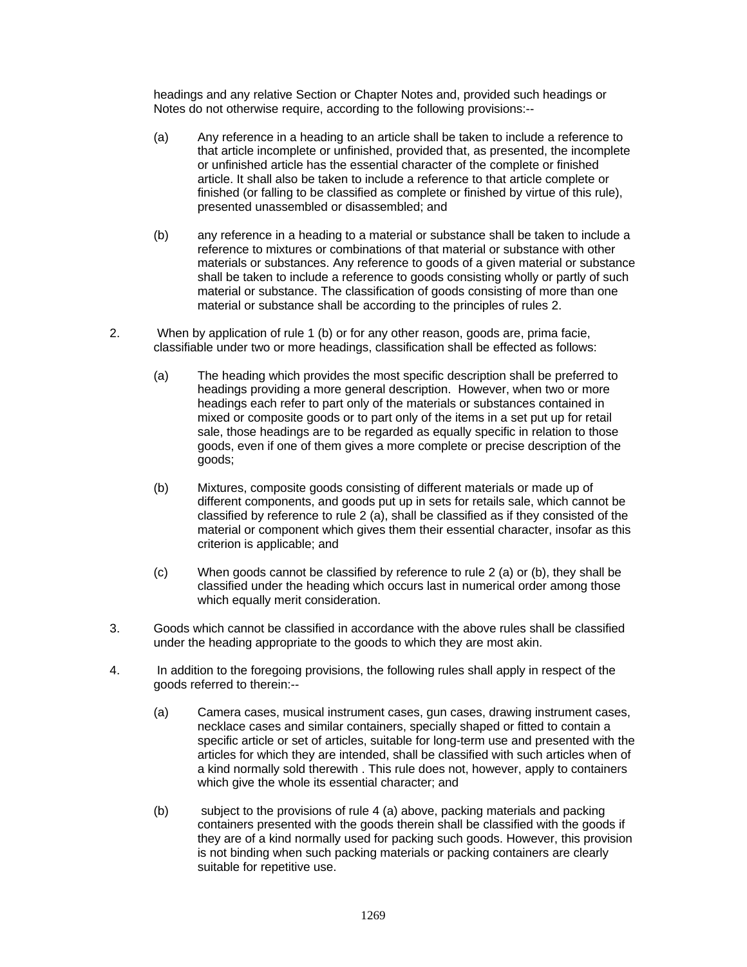headings and any relative Section or Chapter Notes and, provided such headings or Notes do not otherwise require, according to the following provisions:--

- (a) Any reference in a heading to an article shall be taken to include a reference to that article incomplete or unfinished, provided that, as presented, the incomplete or unfinished article has the essential character of the complete or finished article. It shall also be taken to include a reference to that article complete or finished (or falling to be classified as complete or finished by virtue of this rule), presented unassembled or disassembled; and
- (b) any reference in a heading to a material or substance shall be taken to include a reference to mixtures or combinations of that material or substance with other materials or substances. Any reference to goods of a given material or substance shall be taken to include a reference to goods consisting wholly or partly of such material or substance. The classification of goods consisting of more than one material or substance shall be according to the principles of rules 2.
- 2. When by application of rule 1 (b) or for any other reason, goods are, prima facie, classifiable under two or more headings, classification shall be effected as follows:
	- (a) The heading which provides the most specific description shall be preferred to headings providing a more general description. However, when two or more headings each refer to part only of the materials or substances contained in mixed or composite goods or to part only of the items in a set put up for retail sale, those headings are to be regarded as equally specific in relation to those goods, even if one of them gives a more complete or precise description of the goods;
	- (b) Mixtures, composite goods consisting of different materials or made up of different components, and goods put up in sets for retails sale, which cannot be classified by reference to rule 2 (a), shall be classified as if they consisted of the material or component which gives them their essential character, insofar as this criterion is applicable; and
	- (c) When goods cannot be classified by reference to rule 2 (a) or (b), they shall be classified under the heading which occurs last in numerical order among those which equally merit consideration.
- 3. Goods which cannot be classified in accordance with the above rules shall be classified under the heading appropriate to the goods to which they are most akin.
- 4. In addition to the foregoing provisions, the following rules shall apply in respect of the goods referred to therein:--
	- (a) Camera cases, musical instrument cases, gun cases, drawing instrument cases, necklace cases and similar containers, specially shaped or fitted to contain a specific article or set of articles, suitable for long-term use and presented with the articles for which they are intended, shall be classified with such articles when of a kind normally sold therewith . This rule does not, however, apply to containers which give the whole its essential character; and
	- (b) subject to the provisions of rule 4 (a) above, packing materials and packing containers presented with the goods therein shall be classified with the goods if they are of a kind normally used for packing such goods. However, this provision is not binding when such packing materials or packing containers are clearly suitable for repetitive use.